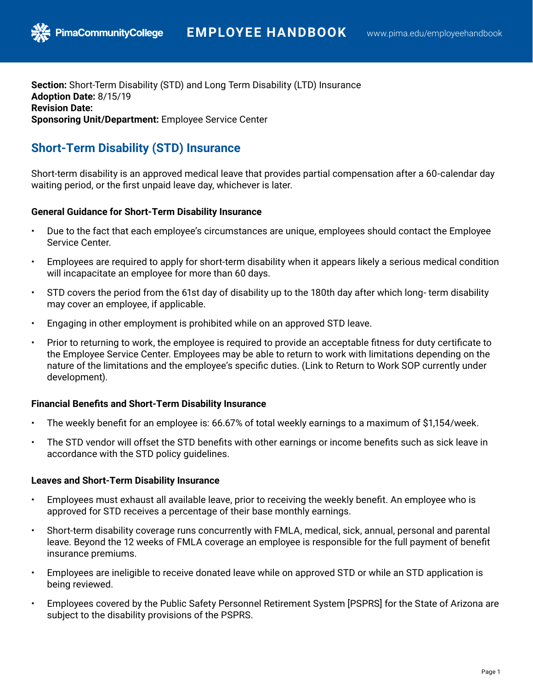**Section:** Short-Term Disability (STD) and Long Term Disability (LTD) Insurance **Adoption Date:** 8/15/19 **Revision Date: Sponsoring Unit/Department:** Employee Service Center

## **Short-Term Disability (STD) Insurance**

**PimaCommunityCollege** 

Short-term disability is an approved medical leave that provides partial compensation after a 60-calendar day waiting period, or the first unpaid leave day, whichever is later.

### **General Guidance for Short-Term Disability Insurance**

- Due to the fact that each employee's circumstances are unique, employees should contact the Employee Service Center.
- Employees are required to apply for short-term disability when it appears likely a serious medical condition will incapacitate an employee for more than 60 days.
- STD covers the period from the 61st day of disability up to the 180th day after which long- term disability may cover an employee, if applicable.
- Engaging in other employment is prohibited while on an approved STD leave.
- Prior to returning to work, the employee is required to provide an acceptable fitness for duty certificate to the Employee Service Center. Employees may be able to return to work with limitations depending on the nature of the limitations and the employee's specific duties. (Link to Return to Work SOP currently under development).

### **Financial Benefits and Short-Term Disability Insurance**

- The weekly benefit for an employee is: 66.67% of total weekly earnings to a maximum of \$1,154/week.
- The STD vendor will offset the STD benefits with other earnings or income benefits such as sick leave in accordance with the STD policy guidelines.

#### **Leaves and Short-Term Disability Insurance**

- Employees must exhaust all available leave, prior to receiving the weekly benefit. An employee who is approved for STD receives a percentage of their base monthly earnings.
- Short-term disability coverage runs concurrently with FMLA, medical, sick, annual, personal and parental leave. Beyond the 12 weeks of FMLA coverage an employee is responsible for the full payment of benefit insurance premiums.
- Employees are ineligible to receive donated leave while on approved STD or while an STD application is being reviewed.
- Employees covered by the Public Safety Personnel Retirement System [PSPRS] for the State of Arizona are subject to the disability provisions of the PSPRS.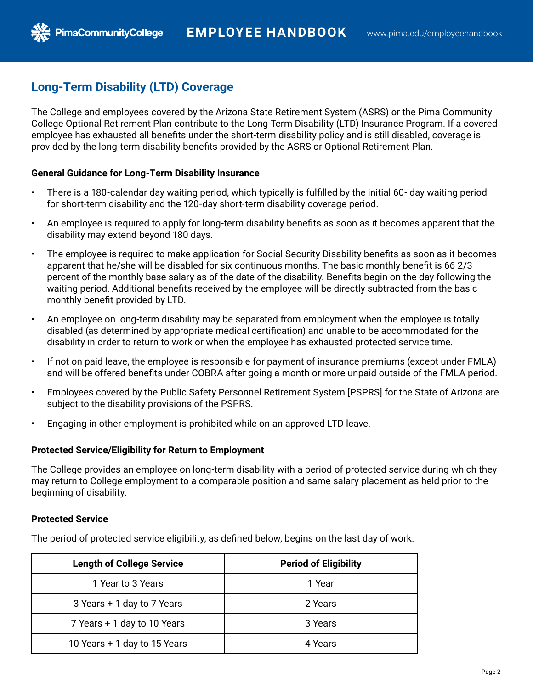# **Long-Term Disability (LTD) Coverage**

**PimaCommunityCollege** 

The College and employees covered by the Arizona State Retirement System (ASRS) or the Pima Community College Optional Retirement Plan contribute to the Long-Term Disability (LTD) Insurance Program. If a covered employee has exhausted all benefits under the short-term disability policy and is still disabled, coverage is provided by the long-term disability benefits provided by the ASRS or Optional Retirement Plan.

### **General Guidance for Long-Term Disability Insurance**

- There is a 180-calendar day waiting period, which typically is fulfilled by the initial 60- day waiting period for short-term disability and the 120-day short-term disability coverage period.
- An employee is required to apply for long-term disability benefits as soon as it becomes apparent that the disability may extend beyond 180 days.
- The employee is required to make application for Social Security Disability benefits as soon as it becomes apparent that he/she will be disabled for six continuous months. The basic monthly benefit is 66 2/3 percent of the monthly base salary as of the date of the disability. Benefits begin on the day following the waiting period. Additional benefits received by the employee will be directly subtracted from the basic monthly benefit provided by LTD.
- An employee on long-term disability may be separated from employment when the employee is totally disabled (as determined by appropriate medical certification) and unable to be accommodated for the disability in order to return to work or when the employee has exhausted protected service time.
- If not on paid leave, the employee is responsible for payment of insurance premiums (except under FMLA) and will be offered benefits under COBRA after going a month or more unpaid outside of the FMLA period.
- Employees covered by the Public Safety Personnel Retirement System [PSPRS] for the State of Arizona are subject to the disability provisions of the PSPRS.
- Engaging in other employment is prohibited while on an approved LTD leave.

## **Protected Service/Eligibility for Return to Employment**

The College provides an employee on long-term disability with a period of protected service during which they may return to College employment to a comparable position and same salary placement as held prior to the beginning of disability.

## **Protected Service**

The period of protected service eligibility, as defined below, begins on the last day of work.

| <b>Length of College Service</b> | <b>Period of Eligibility</b> |
|----------------------------------|------------------------------|
| 1 Year to 3 Years                | 1 Year                       |
| 3 Years + 1 day to 7 Years       | 2 Years                      |
| 7 Years + 1 day to 10 Years      | 3 Years                      |
| 10 Years + 1 day to 15 Years     | 4 Years                      |